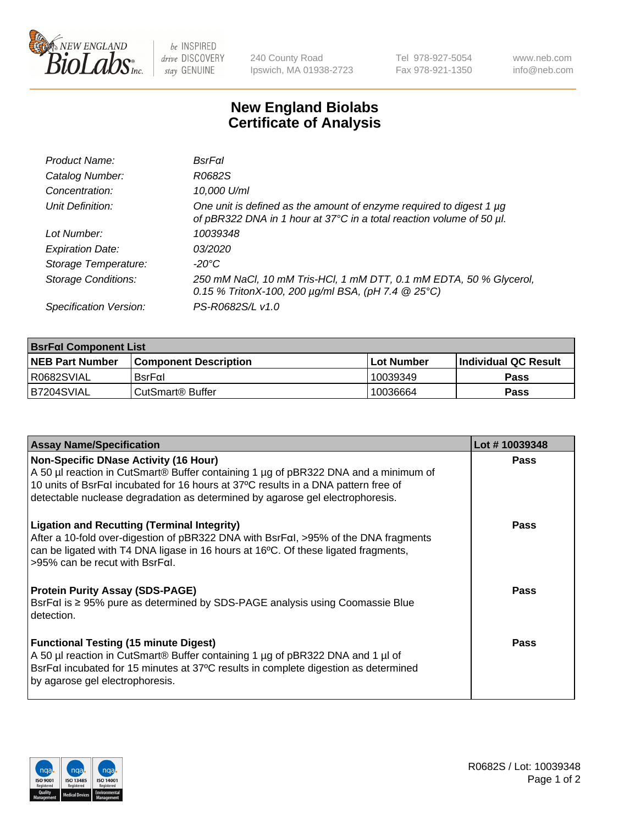

 $be$  INSPIRED drive DISCOVERY stay GENUINE

240 County Road Ipswich, MA 01938-2723 Tel 978-927-5054 Fax 978-921-1350 www.neb.com info@neb.com

## **New England Biolabs Certificate of Analysis**

| Product Name:              | BsrFal                                                                                                                                      |
|----------------------------|---------------------------------------------------------------------------------------------------------------------------------------------|
| Catalog Number:            | R0682S                                                                                                                                      |
| Concentration:             | 10,000 U/ml                                                                                                                                 |
| Unit Definition:           | One unit is defined as the amount of enzyme required to digest 1 µg<br>of pBR322 DNA in 1 hour at 37°C in a total reaction volume of 50 µl. |
| Lot Number:                | 10039348                                                                                                                                    |
| <b>Expiration Date:</b>    | 03/2020                                                                                                                                     |
| Storage Temperature:       | -20°C                                                                                                                                       |
| <b>Storage Conditions:</b> | 250 mM NaCl, 10 mM Tris-HCl, 1 mM DTT, 0.1 mM EDTA, 50 % Glycerol,<br>0.15 % TritonX-100, 200 $\mu$ g/ml BSA, (pH 7.4 $\circledR$ 25°C)     |
| Specification Version:     | PS-R0682S/L v1.0                                                                                                                            |

| <b>BsrFal Component List</b> |                              |              |                             |  |  |
|------------------------------|------------------------------|--------------|-----------------------------|--|--|
| <b>NEB Part Number</b>       | <b>Component Description</b> | l Lot Number | <b>Individual QC Result</b> |  |  |
| I R0682SVIAL                 | $BsrF\alpha I$               | 10039349     | <b>Pass</b>                 |  |  |
| B7204SVIAL                   | l CutSmart® Buffer           | 10036664     | Pass                        |  |  |

| <b>Assay Name/Specification</b>                                                                                                                                                                                                                                                                                        | Lot #10039348 |
|------------------------------------------------------------------------------------------------------------------------------------------------------------------------------------------------------------------------------------------------------------------------------------------------------------------------|---------------|
| <b>Non-Specific DNase Activity (16 Hour)</b><br>A 50 µl reaction in CutSmart <sup>®</sup> Buffer containing 1 µg of pBR322 DNA and a minimum of<br>10 units of BsrFaI incubated for 16 hours at 37°C results in a DNA pattern free of<br>detectable nuclease degradation as determined by agarose gel electrophoresis. | Pass          |
| <b>Ligation and Recutting (Terminal Integrity)</b><br>After a 10-fold over-digestion of pBR322 DNA with BsrFal, >95% of the DNA fragments<br>can be ligated with T4 DNA ligase in 16 hours at 16°C. Of these ligated fragments,<br>>95% can be recut with BsrFαl.                                                      | Pass          |
| <b>Protein Purity Assay (SDS-PAGE)</b><br>BsrFal is ≥ 95% pure as determined by SDS-PAGE analysis using Coomassie Blue<br>detection.                                                                                                                                                                                   | <b>Pass</b>   |
| <b>Functional Testing (15 minute Digest)</b><br>A 50 µl reaction in CutSmart® Buffer containing 1 µg of pBR322 DNA and 1 µl of<br>BsrFal incubated for 15 minutes at 37°C results in complete digestion as determined<br>by agarose gel electrophoresis.                                                               | <b>Pass</b>   |